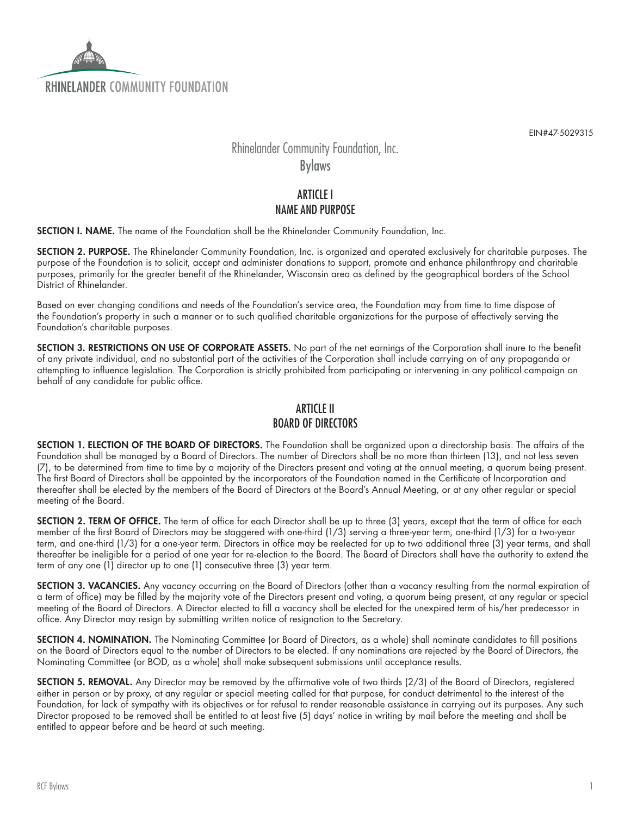

EIN#47-5029315

# Rhinelander Community Foundation, Inc.

Bylaws

## **ARTICLE I** NAME AND PURPOSE

SECTION I. NAME. The name of the Foundation shall be the Rhinelander Community Foundation, Inc.

SECTION 2. PURPOSE. The Rhinelander Community Foundation, Inc. is organized and operated exclusively for charitable purposes. The purpose of the Foundation is to solicit, accept and administer donations to support, promote and enhance philanthropy and charitable purposes, primarily for the greater benefit of the Rhinelander, Wisconsin area as defined by the geographical borders of the School District of Rhinelander.

Based on ever changing conditions and needs of the Foundation's service area, the Foundation may from time to time dispose of the Foundation's property in such a manner or to such qualified charitable organizations for the purpose of effectively serving the Foundation's charitable purposes.

SECTION 3. RESTRICTIONS ON USE OF CORPORATE ASSETS. No part of the net earnings of the Corporation shall inure to the benefit of any private individual, and no substantial part of the activities of the Corporation shall include carrying on of any propaganda or attempting to influence legislation. The Corporation is strictly prohibited from participating or intervening in any political campaign on behalf of any candidate for public office.

#### ARTICLE II BOARD OF DIRECTORS

SECTION 1. ELECTION OF THE BOARD OF DIRECTORS. The Foundation shall be organized upon a directorship basis. The affairs of the Foundation shall be managed by a Board of Directors. The number of Directors shall be no more than thirteen (13), and not less seven (7), to be determined from time to time by a majority of the Directors present and voting at the annual meeting, a quorum being present. The first Board of Directors shall be appointed by the incorporators of the Foundation named in the Certificate of Incorporation and thereafter shall be elected by the members of the Board of Directors at the Board's Annual Meeting, or at any other regular or special meeting of the Board.

SECTION 2. TERM OF OFFICE. The term of office for each Director shall be up to three (3) years, except that the term of office for each member of the first Board of Directors may be staggered with one-third (1/3) serving a three-year term, one-third (1/3) for a two-year term, and one-third (1/3) for a one-year term. Directors in office may be reelected for up to two additional three (3) year terms, and shall thereafter be ineligible for a period of one year for re-election to the Board. The Board of Directors shall have the authority to extend the term of any one (1) director up to one (1) consecutive three (3) year term.

SECTION 3. VACANCIES. Any vacancy occurring on the Board of Directors (other than a vacancy resulting from the normal expiration of a term of office) may be filled by the majority vote of the Directors present and voting, a quorum being present, at any regular or special meeting of the Board of Directors. A Director elected to fill a vacancy shall be elected for the unexpired term of his/her predecessor in office. Any Director may resign by submitting written notice of resignation to the Secretary.

SECTION 4. NOMINATION. The Nominating Committee (or Board of Directors, as a whole) shall nominate candidates to fill positions on the Board of Directors equal to the number of Directors to be elected. If any nominations are rejected by the Board of Directors, the Nominating Committee (or BOD, as a whole) shall make subsequent submissions until acceptance results.

SECTION 5. REMOVAL. Any Director may be removed by the affirmative vote of two thirds (2/3) of the Board of Directors, registered either in person or by proxy, at any regular or special meeting called for that purpose, for conduct detrimental to the interest of the Foundation, for lack of sympathy with its objectives or for refusal to render reasonable assistance in carrying out its purposes. Any such Director proposed to be removed shall be entitled to at least five (5) days' notice in writing by mail before the meeting and shall be entitled to appear before and be heard at such meeting.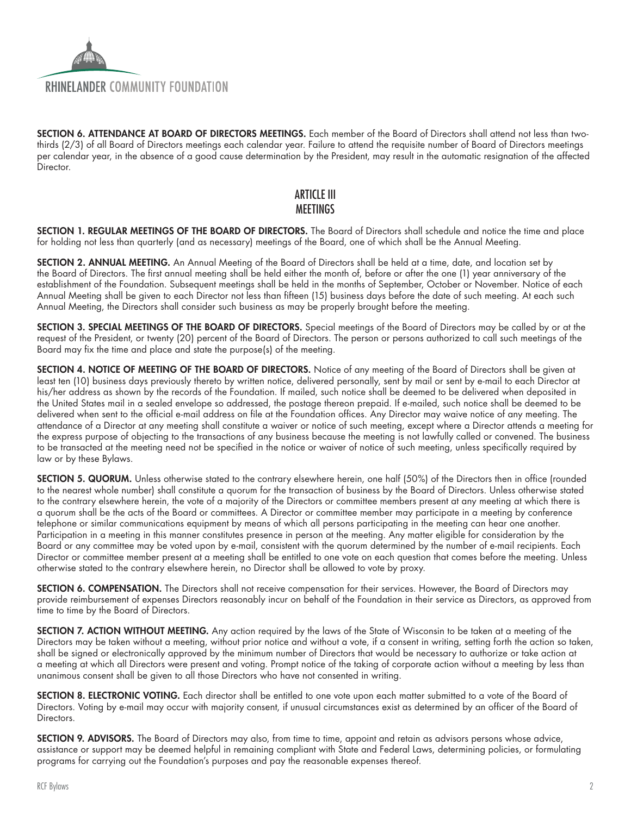

SECTION 6. ATTENDANCE AT BOARD OF DIRECTORS MEETINGS. Each member of the Board of Directors shall attend not less than twothirds (2/3) of all Board of Directors meetings each calendar year. Failure to attend the requisite number of Board of Directors meetings per calendar year, in the absence of a good cause determination by the President, may result in the automatic resignation of the affected Director.

# ARTICLE III **MEETINGS**

SECTION 1. REGULAR MEETINGS OF THE BOARD OF DIRECTORS. The Board of Directors shall schedule and notice the time and place for holding not less than quarterly (and as necessary) meetings of the Board, one of which shall be the Annual Meeting.

SECTION 2. ANNUAL MEETING. An Annual Meeting of the Board of Directors shall be held at a time, date, and location set by the Board of Directors. The first annual meeting shall be held either the month of, before or after the one (1) year anniversary of the establishment of the Foundation. Subsequent meetings shall be held in the months of September, October or November. Notice of each Annual Meeting shall be given to each Director not less than fifteen (15) business days before the date of such meeting. At each such Annual Meeting, the Directors shall consider such business as may be properly brought before the meeting.

SECTION 3. SPECIAL MEETINGS OF THE BOARD OF DIRECTORS. Special meetings of the Board of Directors may be called by or at the request of the President, or twenty (20) percent of the Board of Directors. The person or persons authorized to call such meetings of the Board may fix the time and place and state the purpose(s) of the meeting.

SECTION 4. NOTICE OF MEETING OF THE BOARD OF DIRECTORS. Notice of any meeting of the Board of Directors shall be given at least ten (10) business days previously thereto by written notice, delivered personally, sent by mail or sent by e-mail to each Director at his/her address as shown by the records of the Foundation. If mailed, such notice shall be deemed to be delivered when deposited in the United States mail in a sealed envelope so addressed, the postage thereon prepaid. If e-mailed, such notice shall be deemed to be delivered when sent to the official e-mail address on file at the Foundation offices. Any Director may waive notice of any meeting. The attendance of a Director at any meeting shall constitute a waiver or notice of such meeting, except where a Director attends a meeting for the express purpose of objecting to the transactions of any business because the meeting is not lawfully called or convened. The business to be transacted at the meeting need not be specified in the notice or waiver of notice of such meeting, unless specifically required by law or by these Bylaws.

SECTION 5. QUORUM. Unless otherwise stated to the contrary elsewhere herein, one half (50%) of the Directors then in office (rounded to the nearest whole number) shall constitute a quorum for the transaction of business by the Board of Directors. Unless otherwise stated to the contrary elsewhere herein, the vote of a majority of the Directors or committee members present at any meeting at which there is a quorum shall be the acts of the Board or committees. A Director or committee member may participate in a meeting by conference telephone or similar communications equipment by means of which all persons participating in the meeting can hear one another. Participation in a meeting in this manner constitutes presence in person at the meeting. Any matter eligible for consideration by the Board or any committee may be voted upon by e-mail, consistent with the quorum determined by the number of e-mail recipients. Each Director or committee member present at a meeting shall be entitled to one vote on each question that comes before the meeting. Unless otherwise stated to the contrary elsewhere herein, no Director shall be allowed to vote by proxy.

SECTION 6. COMPENSATION. The Directors shall not receive compensation for their services. However, the Board of Directors may provide reimbursement of expenses Directors reasonably incur on behalf of the Foundation in their service as Directors, as approved from time to time by the Board of Directors.

SECTION 7. ACTION WITHOUT MEETING. Any action required by the laws of the State of Wisconsin to be taken at a meeting of the Directors may be taken without a meeting, without prior notice and without a vote, if a consent in writing, setting forth the action so taken, shall be signed or electronically approved by the minimum number of Directors that would be necessary to authorize or take action at a meeting at which all Directors were present and voting. Prompt notice of the taking of corporate action without a meeting by less than unanimous consent shall be given to all those Directors who have not consented in writing.

SECTION 8. ELECTRONIC VOTING. Each director shall be entitled to one vote upon each matter submitted to a vote of the Board of Directors. Voting by e-mail may occur with majority consent, if unusual circumstances exist as determined by an officer of the Board of Directors.

SECTION 9. ADVISORS. The Board of Directors may also, from time to time, appoint and retain as advisors persons whose advice, assistance or support may be deemed helpful in remaining compliant with State and Federal Laws, determining policies, or formulating programs for carrying out the Foundation's purposes and pay the reasonable expenses thereof.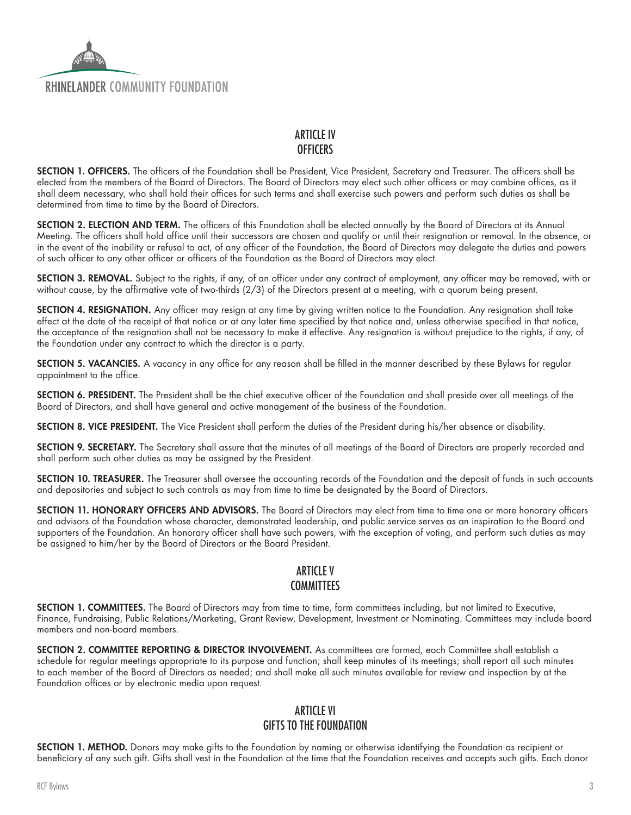## **RHINFI ANDFR COMMUNITY FOUNDATION**

#### ARTICLE IV **OFFICERS**

SECTION 1. OFFICERS. The officers of the Foundation shall be President, Vice President, Secretary and Treasurer. The officers shall be elected from the members of the Board of Directors. The Board of Directors may elect such other officers or may combine offices, as it shall deem necessary, who shall hold their offices for such terms and shall exercise such powers and perform such duties as shall be determined from time to time by the Board of Directors.

SECTION 2. ELECTION AND TERM. The officers of this Foundation shall be elected annually by the Board of Directors at its Annual Meeting. The officers shall hold office until their successors are chosen and qualify or until their resignation or removal. In the absence, or in the event of the inability or refusal to act, of any officer of the Foundation, the Board of Directors may delegate the duties and powers of such officer to any other officer or officers of the Foundation as the Board of Directors may elect.

SECTION 3. REMOVAL. Subject to the rights, if any, of an officer under any contract of employment, any officer may be removed, with or without cause, by the affirmative vote of two-thirds (2/3) of the Directors present at a meeting, with a quorum being present.

SECTION 4. RESIGNATION. Any officer may resign at any time by giving written notice to the Foundation. Any resignation shall take effect at the date of the receipt of that notice or at any later time specified by that notice and, unless otherwise specified in that notice, the acceptance of the resignation shall not be necessary to make it effective. Any resignation is without prejudice to the rights, if any, of the Foundation under any contract to which the director is a party.

SECTION 5. VACANCIES. A vacancy in any office for any reason shall be filled in the manner described by these Bylaws for regular appointment to the office.

SECTION 6. PRESIDENT. The President shall be the chief executive officer of the Foundation and shall preside over all meetings of the Board of Directors, and shall have general and active management of the business of the Foundation.

SECTION 8. VICE PRESIDENT. The Vice President shall perform the duties of the President during his/her absence or disability.

SECTION 9. SECRETARY. The Secretary shall assure that the minutes of all meetings of the Board of Directors are properly recorded and shall perform such other duties as may be assigned by the President.

SECTION 10. TREASURER. The Treasurer shall oversee the accounting records of the Foundation and the deposit of funds in such accounts and depositories and subject to such controls as may from time to time be designated by the Board of Directors.

SECTION 11. HONORARY OFFICERS AND ADVISORS. The Board of Directors may elect from time to time one or more honorary officers and advisors of the Foundation whose character, demonstrated leadership, and public service serves as an inspiration to the Board and supporters of the Foundation. An honorary officer shall have such powers, with the exception of voting, and perform such duties as may be assigned to him/her by the Board of Directors or the Board President.

# ARTICLE V **COMMITTEES**

SECTION 1. COMMITTEES. The Board of Directors may from time to time, form committees including, but not limited to Executive, Finance, Fundraising, Public Relations/Marketing, Grant Review, Development, Investment or Nominating. Committees may include board members and non-board members.

SECTION 2. COMMITTEE REPORTING & DIRECTOR INVOLVEMENT. As committees are formed, each Committee shall establish a schedule for regular meetings appropriate to its purpose and function; shall keep minutes of its meetings; shall report all such minutes to each member of the Board of Directors as needed; and shall make all such minutes available for review and inspection by at the Foundation offices or by electronic media upon request.

#### ARTICLE VI GIFTS TO THE FOUNDATION

SECTION 1. METHOD. Donors may make gifts to the Foundation by naming or otherwise identifying the Foundation as recipient or beneficiary of any such gift. Gifts shall vest in the Foundation at the time that the Foundation receives and accepts such gifts. Each donor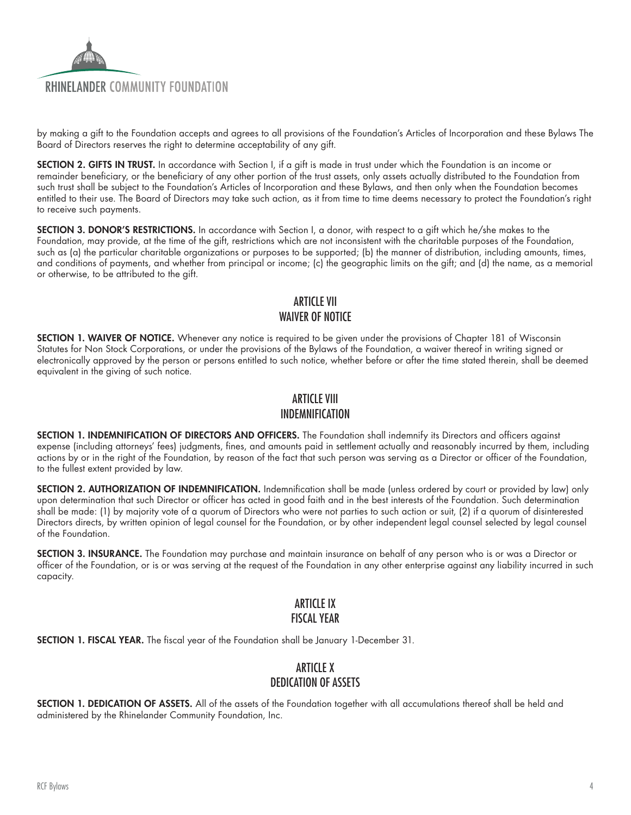

by making a gift to the Foundation accepts and agrees to all provisions of the Foundation's Articles of Incorporation and these Bylaws The Board of Directors reserves the right to determine acceptability of any gift.

SECTION 2. GIFTS IN TRUST. In accordance with Section I, if a gift is made in trust under which the Foundation is an income or remainder beneficiary, or the beneficiary of any other portion of the trust assets, only assets actually distributed to the Foundation from such trust shall be subject to the Foundation's Articles of Incorporation and these Bylaws, and then only when the Foundation becomes entitled to their use. The Board of Directors may take such action, as it from time to time deems necessary to protect the Foundation's right to receive such payments.

SECTION 3. DONOR'S RESTRICTIONS. In accordance with Section I, a donor, with respect to a gift which he/she makes to the Foundation, may provide, at the time of the gift, restrictions which are not inconsistent with the charitable purposes of the Foundation, such as (a) the particular charitable organizations or purposes to be supported; (b) the manner of distribution, including amounts, times, and conditions of payments, and whether from principal or income; (c) the geographic limits on the gift; and (d) the name, as a memorial or otherwise, to be attributed to the gift.

# ARTICLE VII WAIVER OF NOTICE

SECTION 1. WAIVER OF NOTICE. Whenever any notice is required to be given under the provisions of Chapter 181 of Wisconsin Statutes for Non Stock Corporations, or under the provisions of the Bylaws of the Foundation, a waiver thereof in writing signed or electronically approved by the person or persons entitled to such notice, whether before or after the time stated therein, shall be deemed equivalent in the giving of such notice.

# ARTICLE VIII INDEMNIFICATION

SECTION 1. INDEMNIFICATION OF DIRECTORS AND OFFICERS. The Foundation shall indemnify its Directors and officers against expense (including attorneys' fees) judgments, fines, and amounts paid in settlement actually and reasonably incurred by them, including actions by or in the right of the Foundation, by reason of the fact that such person was serving as a Director or officer of the Foundation, to the fullest extent provided by law.

SECTION 2. AUTHORIZATION OF INDEMNIFICATION. Indemnification shall be made (unless ordered by court or provided by law) only upon determination that such Director or officer has acted in good faith and in the best interests of the Foundation. Such determination shall be made: (1) by majority vote of a quorum of Directors who were not parties to such action or suit, (2) if a quorum of disinterested Directors directs, by written opinion of legal counsel for the Foundation, or by other independent legal counsel selected by legal counsel of the Foundation.

SECTION 3. INSURANCE. The Foundation may purchase and maintain insurance on behalf of any person who is or was a Director or officer of the Foundation, or is or was serving at the request of the Foundation in any other enterprise against any liability incurred in such capacity.

#### ARTICLE IX FISCAL YEAR

SECTION 1. FISCAL YEAR. The fiscal year of the Foundation shall be January 1-December 31.

#### ARTICLE X DEDICATION OF ASSETS

SECTION 1. DEDICATION OF ASSETS. All of the assets of the Foundation together with all accumulations thereof shall be held and administered by the Rhinelander Community Foundation, Inc.